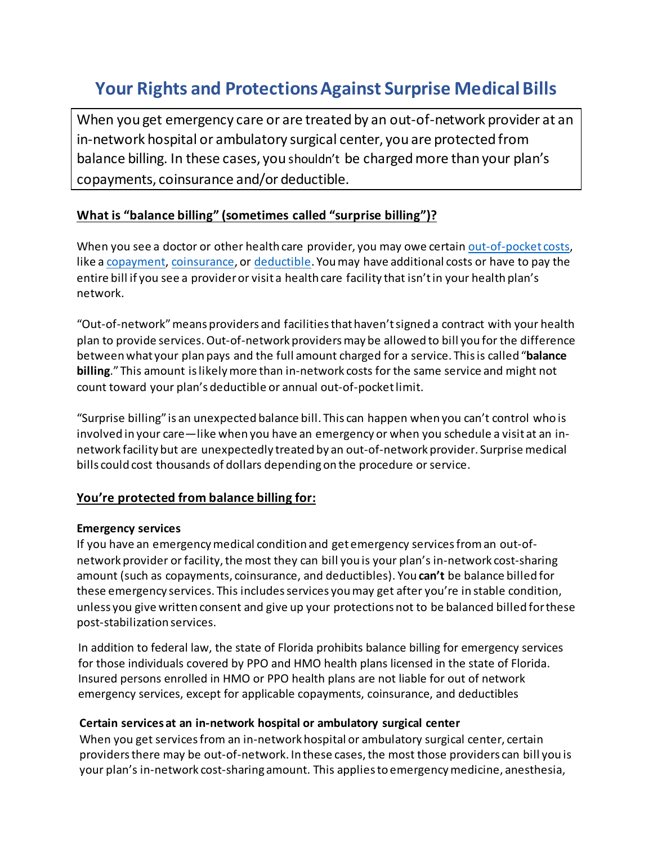# **Your Rights and Protections Against Surprise Medical Bills**

When you get emergency care or are treated by an out-of-network provider at an in-network hospital or ambulatory surgical center, you are protected from balance billing. In these cases, you shouldn't be charged more than your plan's copayments, coinsurance and/or deductible.

# **What is "balance billing" (sometimes called "surprise billing")?**

When you see a doctor or other health care provider, you may owe certain [out-of-pocket costs,](https://www.healthcare.gov/glossary/out-of-pocket-costs/) like a [copayment,](https://www.healthcare.gov/glossary/co-payment/) [coinsurance,](https://www.healthcare.gov/glossary/co-insurance/) or [deductible](https://www.healthcare.gov/glossary/deductible/). You may have additional costs or have to pay the entire bill if you see a provider or visit a health care facility that isn't in your health plan's network.

"Out-of-network" means providers and facilities that haven't signed a contract with your health plan to provide services. Out-of-network providersmay be allowed to bill you for the difference between what your plan pays and the full amount charged for a service. This is called "**balance billing**."This amount is likely more than in-network costs for the same service and might not count toward your plan's deductible or annual out-of-pocket limit.

"Surprise billing" is an unexpected balance bill. This can happen when you can't control who is involved in your care—like when you have an emergency or when you schedule a visit at an innetwork facility but are unexpectedly treated by an out-of-network provider. Surprise medical bills could cost thousands of dollars depending on the procedure or service.

# **You're protected from balance billing for:**

#### **Emergency services**

If you have an emergency medical condition and get emergency services from an out-ofnetwork provider or facility, the most they can bill you is your plan's in-network cost-sharing amount (such as copayments, coinsurance, and deductibles). You **can't** be balance billed for these emergency services. This includes services you may get after you're in stable condition, unless you give written consent and give up your protections not to be balanced billed for these post-stabilization services.

In addition to federal law, the state of Florida prohibits balance billing for emergency services for those individuals covered by PPO and HMO health plans licensed in the state of Florida. Insured persons enrolled in HMO or PPO health plans are not liable for out of network emergency services, except for applicable copayments, coinsurance, and deductibles

#### **Certain services at an in-network hospital or ambulatory surgical center**

When you get services from an in-network hospital or ambulatory surgical center, certain providers there may be out-of-network. In these cases, the most those providers can bill you is your plan's in-network cost-sharing amount. This applies to emergency medicine, anesthesia,